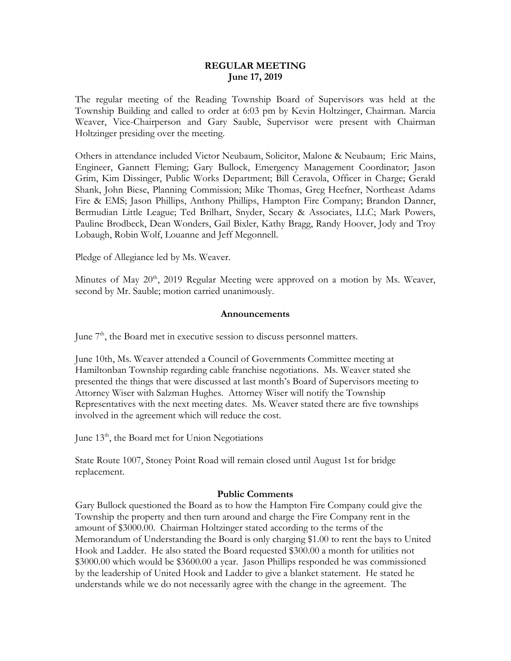### **REGULAR MEETING June 17, 2019**

The regular meeting of the Reading Township Board of Supervisors was held at the Township Building and called to order at 6:03 pm by Kevin Holtzinger, Chairman. Marcia Weaver, Vice-Chairperson and Gary Sauble, Supervisor were present with Chairman Holtzinger presiding over the meeting.

Others in attendance included Victor Neubaum, Solicitor, Malone & Neubaum; Eric Mains, Engineer, Gannett Fleming; Gary Bullock, Emergency Management Coordinator; Jason Grim, Kim Dissinger, Public Works Department; Bill Ceravola, Officer in Charge; Gerald Shank, John Biese, Planning Commission; Mike Thomas, Greg Heefner, Northeast Adams Fire & EMS; Jason Phillips, Anthony Phillips, Hampton Fire Company; Brandon Danner, Bermudian Little League; Ted Brilhart, Snyder, Secary & Associates, LLC; Mark Powers, Pauline Brodbeck, Dean Wonders, Gail Bixler, Kathy Bragg, Randy Hoover, Jody and Troy Lobaugh, Robin Wolf, Louanne and Jeff Megonnell.

Pledge of Allegiance led by Ms. Weaver.

Minutes of May 20<sup>th</sup>, 2019 Regular Meeting were approved on a motion by Ms. Weaver, second by Mr. Sauble; motion carried unanimously.

### **Announcements**

June  $7<sup>th</sup>$ , the Board met in executive session to discuss personnel matters.

June 10th, Ms. Weaver attended a Council of Governments Committee meeting at Hamiltonban Township regarding cable franchise negotiations. Ms. Weaver stated she presented the things that were discussed at last month's Board of Supervisors meeting to Attorney Wiser with Salzman Hughes. Attorney Wiser will notify the Township Representatives with the next meeting dates. Ms. Weaver stated there are five townships involved in the agreement which will reduce the cost.

June 13<sup>th</sup>, the Board met for Union Negotiations

State Route 1007, Stoney Point Road will remain closed until August 1st for bridge replacement.

### **Public Comments**

Gary Bullock questioned the Board as to how the Hampton Fire Company could give the Township the property and then turn around and charge the Fire Company rent in the amount of \$3000.00. Chairman Holtzinger stated according to the terms of the Memorandum of Understanding the Board is only charging \$1.00 to rent the bays to United Hook and Ladder. He also stated the Board requested \$300.00 a month for utilities not \$3000.00 which would be \$3600.00 a year. Jason Phillips responded he was commissioned by the leadership of United Hook and Ladder to give a blanket statement. He stated he understands while we do not necessarily agree with the change in the agreement. The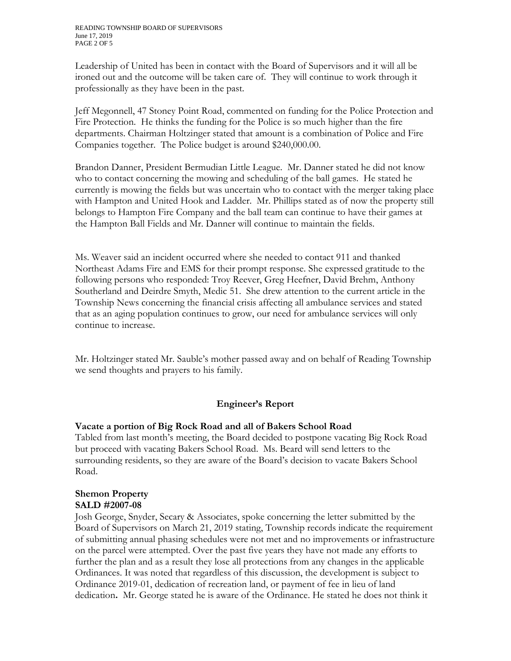Leadership of United has been in contact with the Board of Supervisors and it will all be ironed out and the outcome will be taken care of. They will continue to work through it professionally as they have been in the past.

Jeff Megonnell, 47 Stoney Point Road, commented on funding for the Police Protection and Fire Protection. He thinks the funding for the Police is so much higher than the fire departments. Chairman Holtzinger stated that amount is a combination of Police and Fire Companies together. The Police budget is around \$240,000.00.

Brandon Danner, President Bermudian Little League. Mr. Danner stated he did not know who to contact concerning the mowing and scheduling of the ball games. He stated he currently is mowing the fields but was uncertain who to contact with the merger taking place with Hampton and United Hook and Ladder. Mr. Phillips stated as of now the property still belongs to Hampton Fire Company and the ball team can continue to have their games at the Hampton Ball Fields and Mr. Danner will continue to maintain the fields.

Ms. Weaver said an incident occurred where she needed to contact 911 and thanked Northeast Adams Fire and EMS for their prompt response. She expressed gratitude to the following persons who responded: Troy Reever, Greg Heefner, David Brehm, Anthony Southerland and Deirdre Smyth, Medic 51. She drew attention to the current article in the Township News concerning the financial crisis affecting all ambulance services and stated that as an aging population continues to grow, our need for ambulance services will only continue to increase.

Mr. Holtzinger stated Mr. Sauble's mother passed away and on behalf of Reading Township we send thoughts and prayers to his family.

# **Engineer's Report**

## **Vacate a portion of Big Rock Road and all of Bakers School Road**

Tabled from last month's meeting, the Board decided to postpone vacating Big Rock Road but proceed with vacating Bakers School Road. Ms. Beard will send letters to the surrounding residents, so they are aware of the Board's decision to vacate Bakers School Road.

# **Shemon Property SALD #2007-08**

Josh George, Snyder, Secary & Associates, spoke concerning the letter submitted by the Board of Supervisors on March 21, 2019 stating, Township records indicate the requirement of submitting annual phasing schedules were not met and no improvements or infrastructure on the parcel were attempted. Over the past five years they have not made any efforts to further the plan and as a result they lose all protections from any changes in the applicable Ordinances. It was noted that regardless of this discussion, the development is subject to Ordinance 2019-01, dedication of recreation land, or payment of fee in lieu of land dedication**.** Mr. George stated he is aware of the Ordinance. He stated he does not think it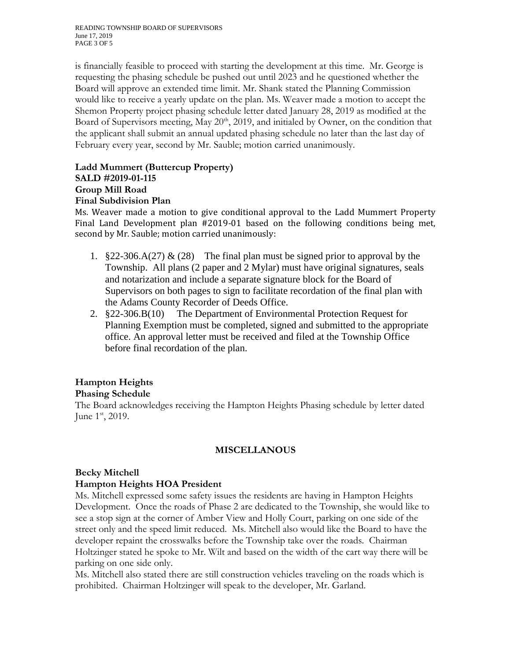READING TOWNSHIP BOARD OF SUPERVISORS June 17, 2019 PAGE 3 OF 5

is financially feasible to proceed with starting the development at this time. Mr. George is requesting the phasing schedule be pushed out until 2023 and he questioned whether the Board will approve an extended time limit. Mr. Shank stated the Planning Commission would like to receive a yearly update on the plan. Ms. Weaver made a motion to accept the Shemon Property project phasing schedule letter dated January 28, 2019 as modified at the Board of Supervisors meeting, May 20<sup>th</sup>, 2019, and initialed by Owner, on the condition that the applicant shall submit an annual updated phasing schedule no later than the last day of February every year, second by Mr. Sauble; motion carried unanimously.

**Ladd Mummert (Buttercup Property) SALD #2019-01-115 Group Mill Road Final Subdivision Plan**

Ms. Weaver made a motion to give conditional approval to the Ladd Mummert Property Final Land Development plan #2019-01 based on the following conditions being met, second by Mr. Sauble; motion carried unanimously:

- 1. §22-306.A(27) & (28) The final plan must be signed prior to approval by the Township. All plans (2 paper and 2 Mylar) must have original signatures, seals and notarization and include a separate signature block for the Board of Supervisors on both pages to sign to facilitate recordation of the final plan with the Adams County Recorder of Deeds Office.
- 2. §22-306.B(10) The Department of Environmental Protection Request for Planning Exemption must be completed, signed and submitted to the appropriate office. An approval letter must be received and filed at the Township Office before final recordation of the plan.

# **Hampton Heights**

## **Phasing Schedule**

The Board acknowledges receiving the Hampton Heights Phasing schedule by letter dated June  $1<sup>st</sup>$ , 2019.

# **MISCELLANOUS**

# **Becky Mitchell**

## **Hampton Heights HOA President**

Ms. Mitchell expressed some safety issues the residents are having in Hampton Heights Development. Once the roads of Phase 2 are dedicated to the Township, she would like to see a stop sign at the corner of Amber View and Holly Court, parking on one side of the street only and the speed limit reduced. Ms. Mitchell also would like the Board to have the developer repaint the crosswalks before the Township take over the roads. Chairman Holtzinger stated he spoke to Mr. Wilt and based on the width of the cart way there will be parking on one side only.

Ms. Mitchell also stated there are still construction vehicles traveling on the roads which is prohibited. Chairman Holtzinger will speak to the developer, Mr. Garland.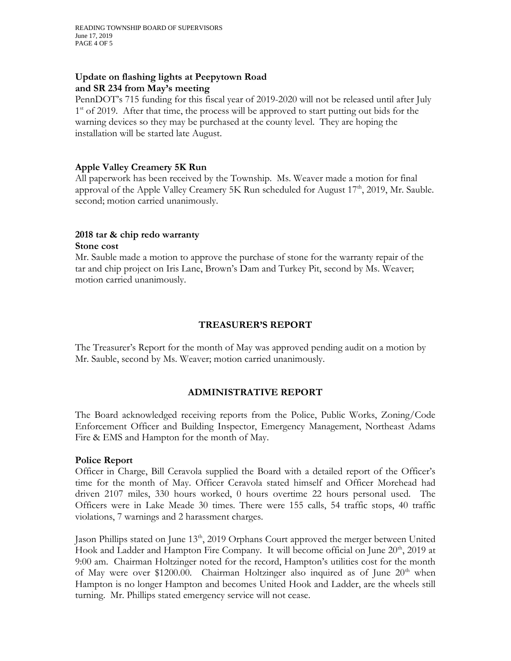# **Update on flashing lights at Peepytown Road and SR 234 from May's meeting**

PennDOT's 715 funding for this fiscal year of 2019-2020 will not be released until after July 1<sup>st</sup> of 2019. After that time, the process will be approved to start putting out bids for the warning devices so they may be purchased at the county level. They are hoping the installation will be started late August.

## **Apple Valley Creamery 5K Run**

All paperwork has been received by the Township. Ms. Weaver made a motion for final approval of the Apple Valley Creamery 5K Run scheduled for August 17<sup>th</sup>, 2019, Mr. Sauble. second; motion carried unanimously.

# **2018 tar & chip redo warranty**

### **Stone cost**

Mr. Sauble made a motion to approve the purchase of stone for the warranty repair of the tar and chip project on Iris Lane, Brown's Dam and Turkey Pit, second by Ms. Weaver; motion carried unanimously.

## **TREASURER'S REPORT**

The Treasurer's Report for the month of May was approved pending audit on a motion by Mr. Sauble, second by Ms. Weaver; motion carried unanimously.

## **ADMINISTRATIVE REPORT**

The Board acknowledged receiving reports from the Police, Public Works, Zoning/Code Enforcement Officer and Building Inspector, Emergency Management, Northeast Adams Fire & EMS and Hampton for the month of May.

### **Police Report**

Officer in Charge, Bill Ceravola supplied the Board with a detailed report of the Officer's time for the month of May. Officer Ceravola stated himself and Officer Morehead had driven 2107 miles, 330 hours worked, 0 hours overtime 22 hours personal used. The Officers were in Lake Meade 30 times. There were 155 calls, 54 traffic stops, 40 traffic violations, 7 warnings and 2 harassment charges.

Jason Phillips stated on June 13<sup>th</sup>, 2019 Orphans Court approved the merger between United Hook and Ladder and Hampton Fire Company. It will become official on June 20<sup>th</sup>, 2019 at 9:00 am. Chairman Holtzinger noted for the record, Hampton's utilities cost for the month of May were over \$1200.00. Chairman Holtzinger also inquired as of June  $20<sup>th</sup>$  when Hampton is no longer Hampton and becomes United Hook and Ladder, are the wheels still turning. Mr. Phillips stated emergency service will not cease.